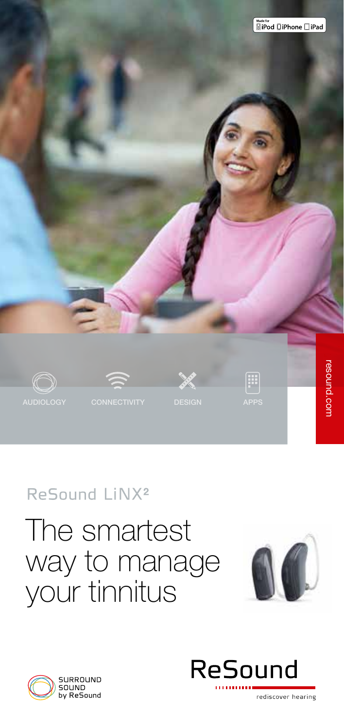

### ReSound LiNX<sup>2</sup>

## The smartest way to manage your tinnitus





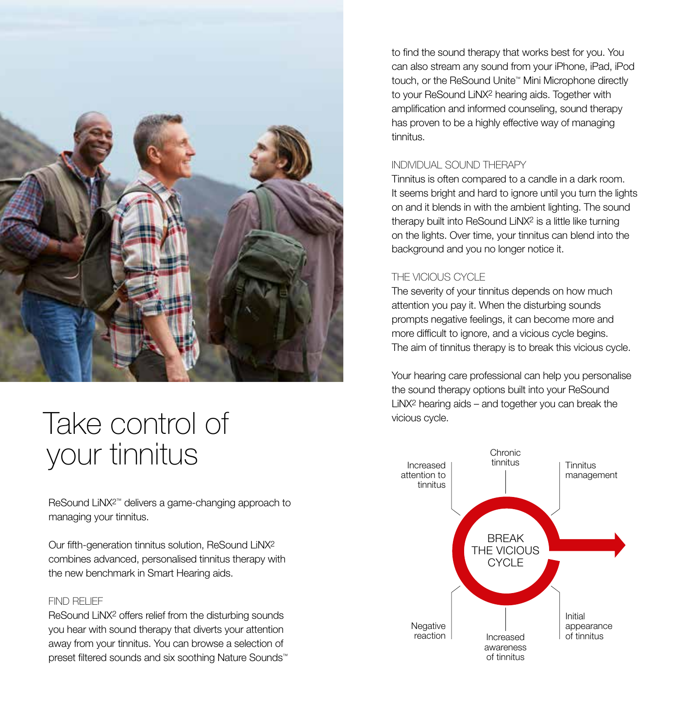

## Take control of your tinnitus

ReSound LiNX2™ delivers a game-changing approach to managing your tinnitus.

Our fifth-generation tinnitus solution, ReSound LiNX2 combines advanced, personalised tinnitus therapy with the new benchmark in Smart Hearing aids.

#### FIND RELIEF

ReSound LiNX2 offers relief from the disturbing sounds you hear with sound therapy that diverts your attention away from your tinnitus. You can browse a selection of preset filtered sounds and six soothing Nature Sounds™ to find the sound therapy that works best for you. You can also stream any sound from your iPhone, iPad, iPod touch, or the ReSound Unite™ Mini Microphone directly to your ReSound LiNX2 hearing aids. Together with amplification and informed counseling, sound therapy has proven to be a highly effective way of managing tinnitus.

#### INDIVIDUAL SOUND THERAPY

Tinnitus is often compared to a candle in a dark room. It seems bright and hard to ignore until you turn the lights on and it blends in with the ambient lighting. The sound therapy built into ReSound LiNX2 is a little like turning on the lights. Over time, your tinnitus can blend into the background and you no longer notice it.

#### THE VICIOUS CYCLE

The severity of your tinnitus depends on how much attention you pay it. When the disturbing sounds prompts negative feelings, it can become more and more difficult to ignore, and a vicious cycle begins. The aim of tinnitus therapy is to break this vicious cycle.

Your hearing care professional can help you personalise the sound therapy options built into your ReSound LiNX2 hearing aids – and together you can break the vicious cycle.

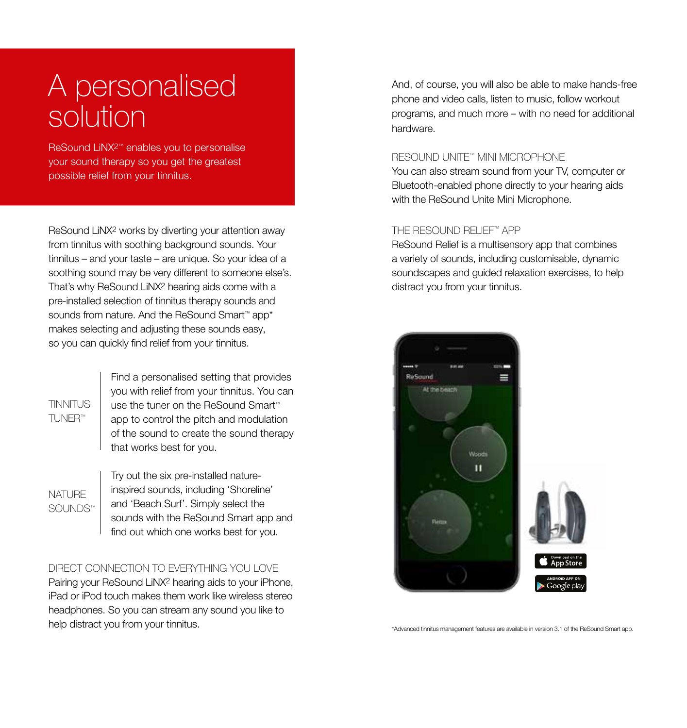## A personalised solution

ReSound LiNX2™ enables you to personalise your sound therapy so you get the greatest possible relief from your tinnitus.

ReSound LiNX2 works by diverting your attention away from tinnitus with soothing background sounds. Your tinnitus – and your taste – are unique. So your idea of a soothing sound may be very different to someone else's. That's why ReSound LiNX2 hearing aids come with a pre-installed selection of tinnitus therapy sounds and sounds from nature. And the ReSound Smart™ app\* makes selecting and adjusting these sounds easy, so you can quickly find relief from your tinnitus.

TINNITUS TUNER™

Find a personalised setting that provides you with relief from your tinnitus. You can use the tuner on the ReSound Smart™ app to control the pitch and modulation of the sound to create the sound therapy that works best for you.

NATURE SOUNDS™ Try out the six pre-installed natureinspired sounds, including 'Shoreline' and 'Beach Surf'. Simply select the sounds with the ReSound Smart app and find out which one works best for you.

#### DIRECT CONNECTION TO EVERYTHING YOU LOVE

Pairing your ReSound LiNX2 hearing aids to your iPhone, iPad or iPod touch makes them work like wireless stereo headphones. So you can stream any sound you like to help distract you from your tinnitus.  $\cdot$ Advanced tinnitus management features are available in version 3.1 of the ReSound Smart app.

And, of course, you will also be able to make hands-free phone and video calls, listen to music, follow workout programs, and much more – with no need for additional hardware.

#### RESOUND UNITE™ MINI MICROPHONE

You can also stream sound from your TV, computer or Bluetooth-enabled phone directly to your hearing aids with the ReSound Unite Mini Microphone.

#### THE RESOUND RELIEF™ APP

ReSound Relief is a multisensory app that combines a variety of sounds, including customisable, dynamic soundscapes and guided relaxation exercises, to help distract you from your tinnitus.

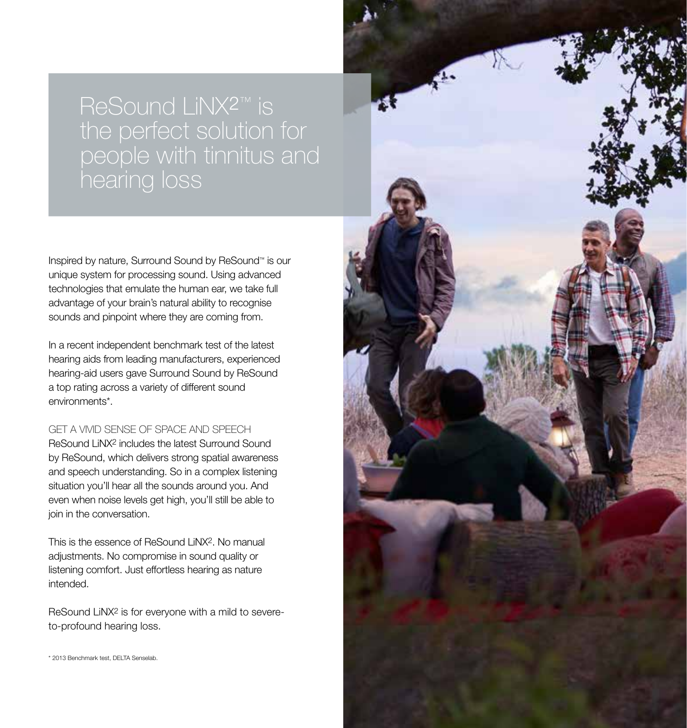# people with tinnitus and hearing loss

Inspired by nature, Surround Sound by ReSound™ is our unique system for processing sound. Using advanced technologies that emulate the human ear, we take full advantage of your brain's natural ability to recognise sounds and pinpoint where they are coming from.

In a recent independent benchmark test of the latest hearing aids from leading manufacturers, experienced hearing-aid users gave Surround Sound by ReSound a top rating across a variety of different sound environments\*.

#### GET A VIVID SENSE OF SPACE AND SPEECH

ReSound LiNX2 includes the latest Surround Sound by ReSound, which delivers strong spatial awareness and speech understanding. So in a complex listening situation you'll hear all the sounds around you. And even when noise levels get high, you'll still be able to join in the conversation.

This is the essence of ReSound LiNX2. No manual adjustments. No compromise in sound quality or listening comfort. Just effortless hearing as nature intended.

ReSound LiNX2 is for everyone with a mild to severeto-profound hearing loss.

\* 2013 Benchmark test, DELTA Senselab.

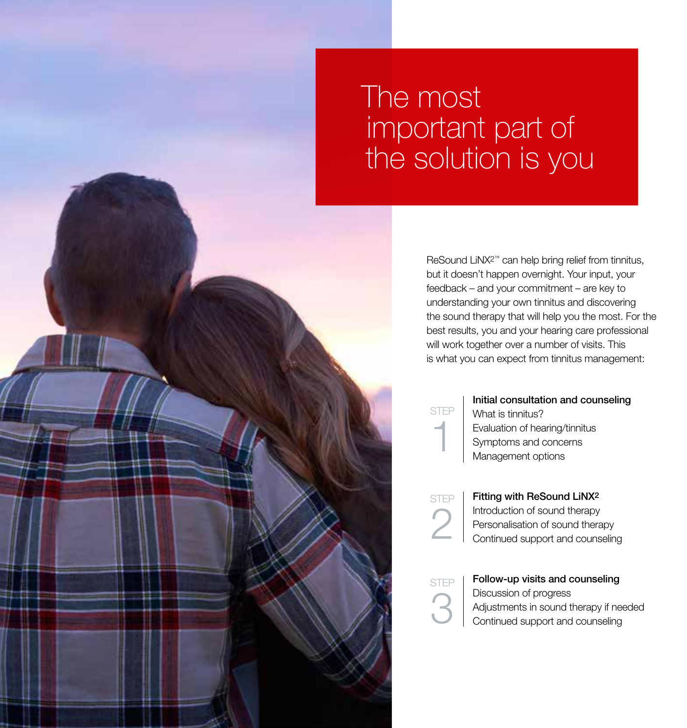## The most important part of the solution is you

ReSound LiNX2™ can help bring relief from tinnitus, but it doesn't happen overnight. Your input, your feedback – and your commitment – are key to understanding your own tinnitus and discovering the sound therapy that will help you the most. For the best results, you and your hearing care professional will work together over a number of visits. This is what you can expect from tinnitus management:

**STEP** 

1

#### Initial consultation and counseling

What is tinnitus? Evaluation of hearing/tinnitus Symptoms and concerns Management options

STEP 2

Fitting with ReSound LiNX2 Introduction of sound therapy Personalisation of sound therapy Continued support and counseling

STEP  $\mathbf{\Omega}$ 

Follow-up visits and counseling Discussion of progress Adjustments in sound therapy if needed Continued support and counseling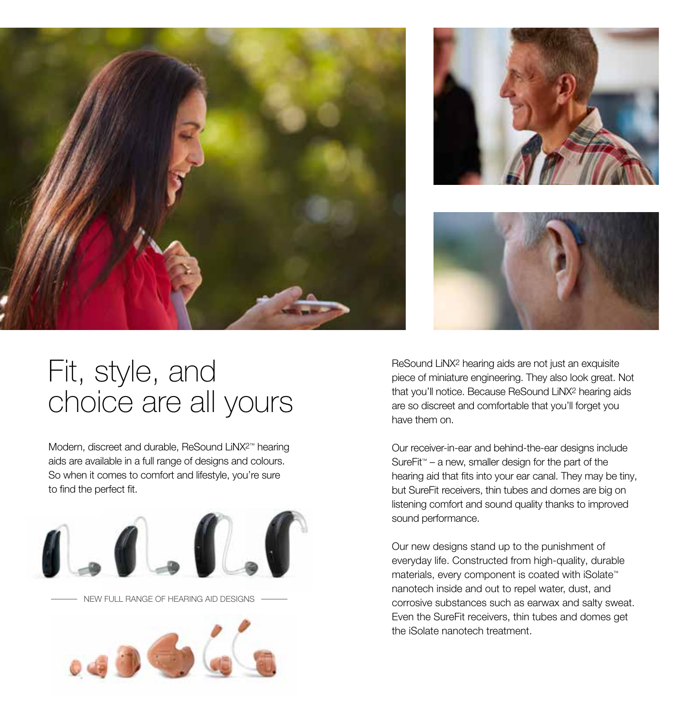





## Fit, style, and choice are all yours

Modern, discreet and durable, ReSound LiNX2™ hearing aids are available in a full range of designs and colours. So when it comes to comfort and lifestyle, you're sure to find the perfect fit.





ReSound LiNX2 hearing aids are not just an exquisite piece of miniature engineering. They also look great. Not that you'll notice. Because ReSound LiNX2 hearing aids are so discreet and comfortable that you'll forget you have them on.

Our receiver-in-ear and behind-the-ear designs include SureFit™ – a new, smaller design for the part of the hearing aid that fits into your ear canal. They may be tiny, but SureFit receivers, thin tubes and domes are big on listening comfort and sound quality thanks to improved sound performance.

Our new designs stand up to the punishment of everyday life. Constructed from high-quality, durable materials, every component is coated with iSolate™ nanotech inside and out to repel water, dust, and corrosive substances such as earwax and salty sweat. Even the SureFit receivers, thin tubes and domes get the iSolate nanotech treatment.